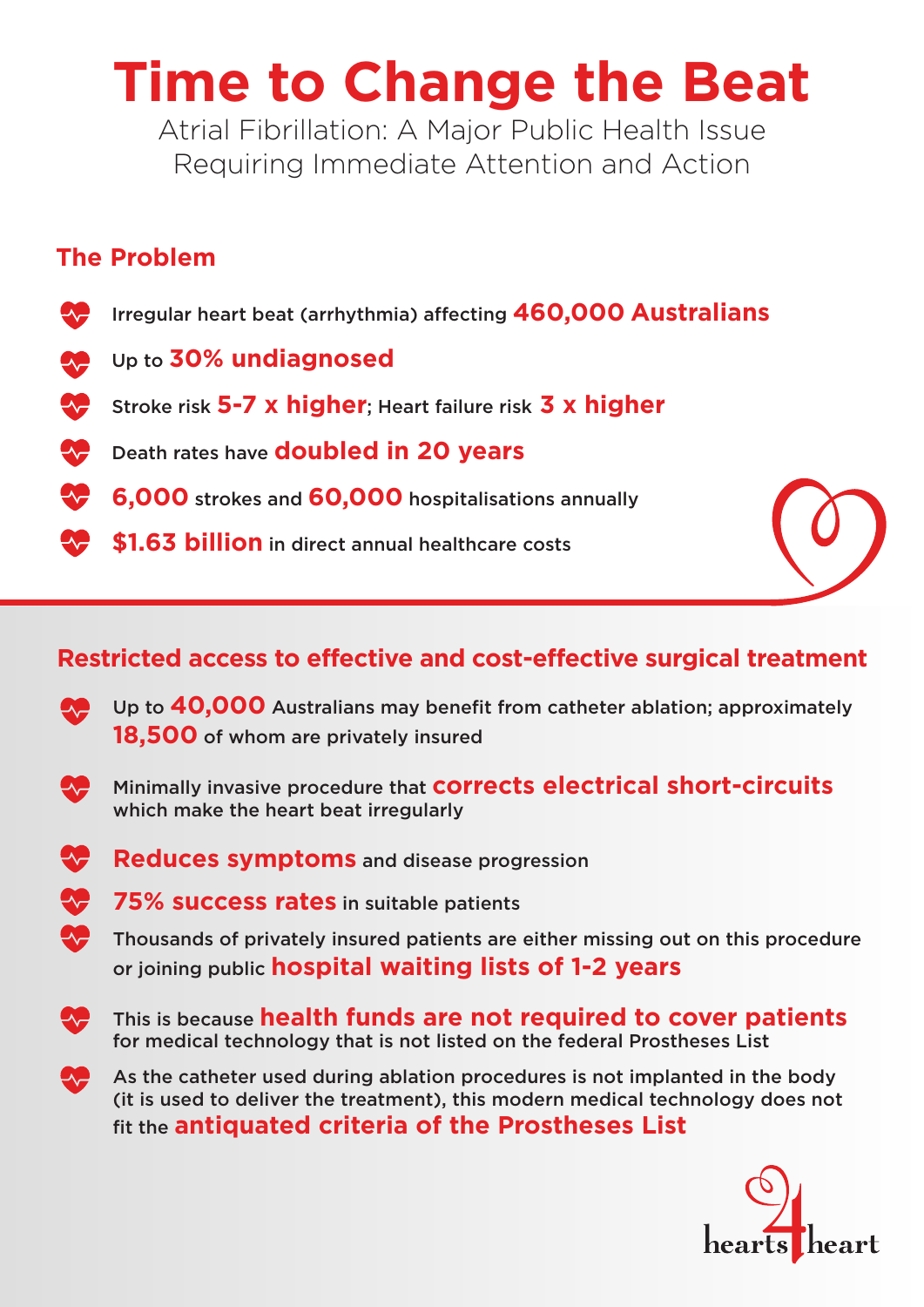# **Time to Change the Beat**

Atrial Fibrillation: A Major Public Health Issue Requiring Immediate Attention and Action

## **The Problem**

- **AP** Irregular heart beat (arrhythmia) affecting **460,000 Australians**
- Up to **30% undiagnosed AP**
- Stroke risk **5-7 x higher**; Heart failure risk **3 x higher**
- **W** Death rates have **doubled in 20 years**
- $\bullet$ **6,000** strokes and **60,000** hospitalisations annually
- **\$1.63 billion** in direct annual healthcare costs



# **Restricted access to effective and cost-effective surgical treatment**

- Up to **40,000** Australians may benefit from catheter ablation; approximately **18,500** of whom are privately insured
- **Minimally invasive procedure that COTTECTS electrical short-circuits** which make the heart beat irregularly
- **Reduces symptoms** and disease progression
- **75% success rates** in suitable patients
- $\sqrt{\phantom{a}}$  Thousands of privately insured patients are either missing out on this procedure or joining public **hospital waiting lists of 1-2 years**
- $\bullet$  This is because **health funds are not required to cover patients** for medical technology that is not listed on the federal Prostheses List
- As the catheter used during ablation procedures is not implanted in the body (it is used to deliver the treatment), this modern medical technology does not fit the **antiquated criteria of the Prostheses List**